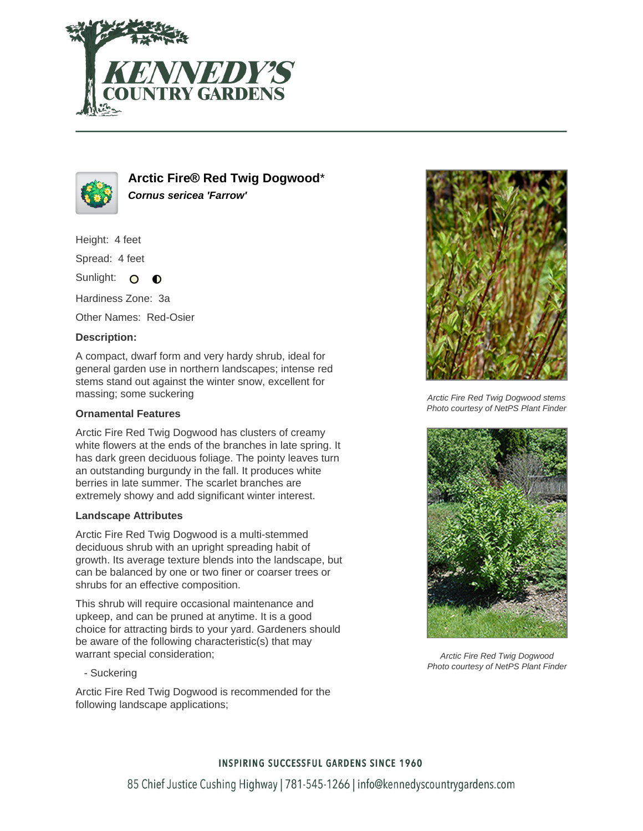



**Arctic Fire® Red Twig Dogwood**\* **Cornus sericea 'Farrow'**

Height: 4 feet

Spread: 4 feet

Sunlight: O  $\bullet$ 

Hardiness Zone: 3a

Other Names: Red-Osier

## **Description:**

A compact, dwarf form and very hardy shrub, ideal for general garden use in northern landscapes; intense red stems stand out against the winter snow, excellent for massing; some suckering

### **Ornamental Features**

Arctic Fire Red Twig Dogwood has clusters of creamy white flowers at the ends of the branches in late spring. It has dark green deciduous foliage. The pointy leaves turn an outstanding burgundy in the fall. It produces white berries in late summer. The scarlet branches are extremely showy and add significant winter interest.

#### **Landscape Attributes**

Arctic Fire Red Twig Dogwood is a multi-stemmed deciduous shrub with an upright spreading habit of growth. Its average texture blends into the landscape, but can be balanced by one or two finer or coarser trees or shrubs for an effective composition.

This shrub will require occasional maintenance and upkeep, and can be pruned at anytime. It is a good choice for attracting birds to your yard. Gardeners should be aware of the following characteristic(s) that may warrant special consideration;

- Suckering

Arctic Fire Red Twig Dogwood is recommended for the following landscape applications;



Arctic Fire Red Twig Dogwood stems Photo courtesy of NetPS Plant Finder



Arctic Fire Red Twig Dogwood Photo courtesy of NetPS Plant Finder

#### **INSPIRING SUCCESSFUL GARDENS SINCE 1960**